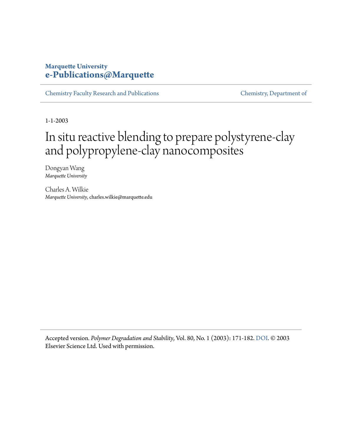## **Marquette University [e-Publications@Marquette](https://epublications.marquette.edu)**

[Chemistry Faculty Research and Publications](https://epublications.marquette.edu/chem_fac) [Chemistry, Department of](https://epublications.marquette.edu/chemistry)

1-1-2003

## In situ reactive blending to prepare polystyrene-clay and polypropylene-clay nanocomposites

Dongyan Wang *Marquette University*

Charles A. Wilkie *Marquette University*, charles.wilkie@marquette.edu

Accepted version*. Polymer Degradation and Stability*, Vol. 80, No. 1 (2003): 171-182. [DOI.](http://dx.doi.org/10.1016/S0141-3910(02)00399-3) © 2003 Elsevier Science Ltd. Used with permission.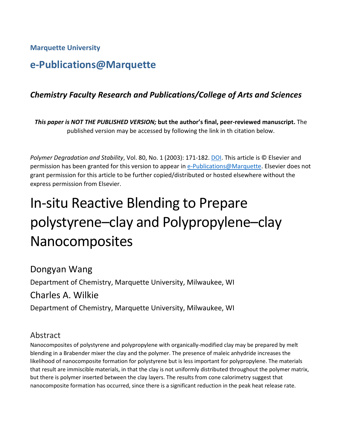**Marquette University**

## **e-Publications@Marquette**

## *Chemistry Faculty Research and Publications/College of Arts and Sciences*

*This paper is NOT THE PUBLISHED VERSION;* **but the author's final, peer-reviewed manuscript.** The published version may be accessed by following the link in th citation below.

*Polymer Degradation and Stability*, Vol. 80, No. 1 (2003): 171-182. [DOI.](https://doi.org/10.1016/S0141-3910(02)00399-3) This article is © Elsevier and permission has been granted for this version to appear in [e-Publications@Marquette.](http://epublications.marquette.edu/) Elsevier does not grant permission for this article to be further copied/distributed or hosted elsewhere without the express permission from Elsevier.

# In-situ Reactive Blending to Prepare polystyrene–clay and Polypropylene–clay **Nanocomposites**

Dongyan Wang Department of Chemistry, Marquette University, Milwaukee, WI Charles A. Wilkie Department of Chemistry, Marquette University, Milwaukee, WI

## Abstract

Nanocomposites of polystyrene and polypropylene with organically-modified clay may be prepared by melt blending in a Brabender mixer the clay and the polymer. The presence of maleic anhydride increases the likelihood of nanocomposite formation for polystyrene but is less important for polypropylene. The materials that result are immiscible materials, in that the clay is not uniformly distributed throughout the polymer matrix, but there is polymer inserted between the clay layers. The results from cone calorimetry suggest that nanocomposite formation has occurred, since there is a significant reduction in the peak heat release rate.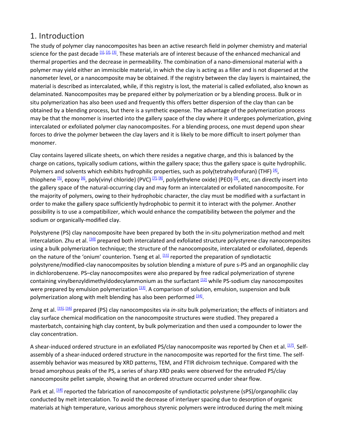## 1. Introduction

The study of polymer clay nanocomposites has been an active research field in polymer chemistry and material science for the past decade  $[1]$ ,  $[2]$ ,  $[3]$ . These materials are of interest because of the enhanced mechanical and thermal properties and the decrease in permeability. The combination of a nano-dimensional material with a polymer may yield either an immiscible material, in which the clay is acting as a filler and is not dispersed at the nanometer level, or a nanocomposite may be obtained. If the registry between the clay layers is maintained, the material is described as intercalated, while, if this registry is lost, the material is called exfoliated, also known as delaminated. Nanocomposites may be prepared either by polymerization or by a blending process. Bulk or in situ polymerization has also been used and frequently this offers better dispersion of the clay than can be obtained by a blending process, but there is a synthetic expense. The advantage of the polymerization process may be that the monomer is inserted into the gallery space of the clay where it undergoes polymerization, giving intercalated or exfoliated polymer clay nanocomposites. For a blending process, one must depend upon shear forces to drive the polymer between the clay layers and it is likely to be more difficult to insert polymer than monomer.

Clay contains layered silicate sheets, on which there resides a negative charge, and this is balanced by the charge on cations, typically sodium cations, within the gallery space; thus the gallery space is quite hydrophilic. Polymers and solvents which exhibits hydrophilic properties, such as poly(tetrahydrofuran) (THF) <sup>[4]</sup>, thiophene <sup>[5]</sup>, epoxy <sup>[6]</sup>, poly(vinyl chloride) (PVC) <sup>[\[7\],](https://www.sciencedirect.com/science/article/pii/S0141391002003993?via%3Dihub#BIB7) [8]</sup>, poly(ethylene oxide) (PEO) <sup>[9]</sup>, etc, can directly insert into the gallery space of the natural-occurring clay and may form an intercalated or exfoliated nanocomposite. For the majority of polymers, owing to their hydrophobic character, the clay must be modified with a surfactant in order to make the gallery space sufficiently hydrophobic to permit it to interact with the polymer. Another possibility is to use a compatibilizer, which would enhance the compatibility between the polymer and the sodium or organically-modified clay.

Polystyrene (PS) clay nanocomposite have been prepared by both the in-situ polymerization method and melt intercalation. Zhu et al. <sup>[\[10\]](https://www.sciencedirect.com/science/article/pii/S0141391002003993?via%3Dihub#BIB10)</sup> prepared both intercalated and exfoliated structure polystyrene clay nanocomposites using a bulk polymerization technique; the structure of the nanocomposite, intercalated or exfoliated, depends on the nature of the 'onium' counterion. Tseng et al.  $\frac{111}{2}$  reported the preparation of syndiotactic polystyrene/modified-clay nanocomposites by solution blending a mixture of pure s-PS and an organophilic clay in dichlorobenzene. PS–clay nanocomposites were also prepared by free radical polymerization of styrene containing vinylbenzyldimethyldodecylammonium as the surfactant  $[12]$  while PS-sodium clay nanocomposites were prepared by emulsion polymerization  $13$ . A comparison of solution, emulsion, suspension and bulk polymerization along with melt blending has also been performed <sup>[14]</sup>.

Zeng et al. [\[15\],](https://www.sciencedirect.com/science/article/pii/S0141391002003993?via%3Dihub#BIB15) [\[16\]](https://www.sciencedirect.com/science/article/pii/S0141391002003993?via%3Dihub#BIB16) prepared (PS) clay nanocomposites via *in-situ* bulk polymerization; the effects of initiators and clay surface chemical modification on the nanocomposite structures were studied. They prepared a masterbatch, containing high clay content, by bulk polymerization and then used a compounder to lower the clay concentration.

A shear-induced ordered structure in an exfoliated PS/clay nanocomposite was reported by Chen et al. <sup>[17]</sup>. Selfassembly of a shear-induced ordered structure in the nanocomposite was reported for the first time. The selfassembly behavior was measured by XRD patterns, TEM, and FTIR dichroism technique. Compared with the broad amorphous peaks of the PS, a series of sharp XRD peaks were observed for the extruded PS/clay nanocomposite pellet sample, showing that an ordered structure occurred under shear flow.

Park et al. <sup>[\[18\]](https://www.sciencedirect.com/science/article/pii/S0141391002003993?via%3Dihub#BIB18)</sup> reported the fabrication of nanocomposite of syndiotactic polystyrene (sPS)/organophilic clay conducted by melt intercalation. To avoid the decrease of interlayer spacing due to desorption of organic materials at high temperature, various amorphous styrenic polymers were introduced during the melt mixing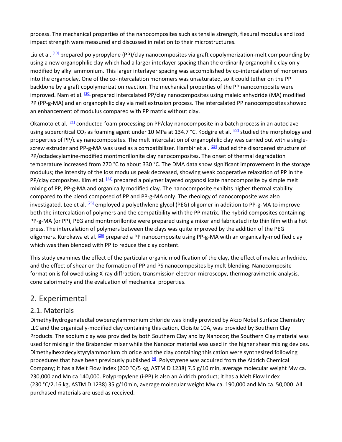process. The mechanical properties of the nanocomposites such as tensile strength, flexural modulus and izod impact strength were measured and discussed in relation to their microstructures.

Liu et al. <sup>[\[19\]](https://www.sciencedirect.com/science/article/pii/S0141391002003993?via%3Dihub#BIB19)</sup> prepared polypropylene (PP)/clay nanocomposites via graft copolymerization-melt compounding by using a new organophilic clay which had a larger interlayer spacing than the ordinarily organophilic clay only modified by alkyl ammonium. This larger interlayer spacing was accomplished by co-intercalation of monomers into the organoclay. One of the co-intercalation monomers was unsaturated, so it could tether on the PP backbone by a graft copolymerization reaction. The mechanical properties of the PP nanocomposite were improved. Nam et al. <sup>[\[20\]](https://www.sciencedirect.com/science/article/pii/S0141391002003993?via%3Dihub#BIB20)</sup> prepared intercalated PP/clay nanocomposites using maleic anhydride (MA) modified PP (PP-g-MA) and an organophilic clay via melt extrusion process. The intercalated PP nanocomposites showed an enhancement of modulus compared with PP matrix without clay.

Okamoto et al. [\[21\]](https://www.sciencedirect.com/science/article/pii/S0141391002003993?via%3Dihub#BIB21) conducted foam processing on PP/clay nanocomposite in a batch process in an autoclave using supercritical CO<sub>2</sub> as foaming agent under 10 MPa at 134.7 °C. Kodgire et al. <sup>[\[22\]](https://www.sciencedirect.com/science/article/pii/S0141391002003993?via%3Dihub#BIB22)</sup> studied the morphology and properties of PP/clay nanocomposites. The melt intercalation of organophilic clay was carried out with a single-screw extruder and PP-g-MA was used as a compatibilizer. Hambir et al. <sup>[\[23\]](https://www.sciencedirect.com/science/article/pii/S0141391002003993?via%3Dihub#BIB23)</sup> studied the disordered structure of PP/octadecylamine-modified montmorillonite clay nanocomposites. The onset of thermal degradation temperature increased from 270 °C to about 330 °C. The DMA data show significant improvement in the storage modulus; the intensity of the loss modulus peak decreased, showing weak cooperative relaxation of PP in the PP/clay composites. Kim et al. <sup>[\[24\]](https://www.sciencedirect.com/science/article/pii/S0141391002003993?via%3Dihub#BIB24)</sup> prepared a polymer layered organosilicate nanocomposite by simple melt mixing of PP, PP-g-MA and organically modified clay. The nanocomposite exhibits higher thermal stability compared to the blend composed of PP and PP-g-MA only. The rheology of nanocomposite was also investigated. Lee et al. <sup>[\[25\]](https://www.sciencedirect.com/science/article/pii/S0141391002003993?via%3Dihub#BIB25)</sup> employed a polyethylene glycol (PEG) oligomer in addition to PP-g-MA to improve both the intercalation of polymers and the compatibility with the PP matrix. The hybrid composites containing PP-g-MA (or PP), PEG and montmorillonite were prepared using a mixer and fabricated into thin film with a hot press. The intercalation of polymers between the clays was quite improved by the addition of the PEG oligomers. Kurokawa et al. <sup>[\[26\]](https://www.sciencedirect.com/science/article/pii/S0141391002003993?via%3Dihub#BIB26)</sup> prepared a PP nanocomposite using PP-g-MA with an organically-modified clay which was then blended with PP to reduce the clay content.

This study examines the effect of the particular organic modification of the clay, the effect of maleic anhydride, and the effect of shear on the formation of PP and PS nanocomposites by melt blending. Nanocomposite formation is followed using X-ray diffraction, transmission electron microscopy, thermogravimetric analysis, cone calorimetry and the evaluation of mechanical properties.

## 2. Experimental

#### 2.1. Materials

Dimethylhydrogenatedtallowbenzylammonium chloride was kindly provided by Akzo Nobel Surface Chemistry LLC and the organically-modified clay containing this cation, Cloisite 10A, was provided by Southern Clay Products. The sodium clay was provided by both Southern Clay and by Nanocor; the Southern Clay material was used for mixing in the Brabender mixer while the Nanocor material was used in the higher shear mixing devices. Dimethylhexadecylstyrylammonium chloride and the clay containing this cation were synthesized following procedures that have been previously published [\[4\].](https://www.sciencedirect.com/science/article/pii/S0141391002003993?via%3Dihub#BIB4) Polystyrene was acquired from the Aldrich Chemical Company; it has a Melt Flow Index (200 °C/5 kg, ASTM D 1238) 7.5 g/10 min, average molecular weight Mw ca. 230,000 and Mn ca 140,000. Polypropylene (i-PP) is also an Aldrich product; it has a Melt Flow Index (230 °C/2.16 kg, ASTM D 1238) 35 g/10min, average molecular weight Mw ca. 190,000 and Mn ca. 50,000. All purchased materials are used as received.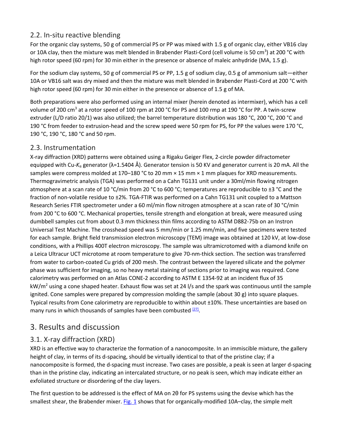## 2.2. In-situ reactive blending

For the organic clay systems, 50 g of commercial PS or PP was mixed with 1.5 g of organic clay, either VB16 clay or 10A clay, then the mixture was melt blended in Brabender Plasti-Cord (cell volume is 50 cm<sup>3</sup>) at 200 °C with high rotor speed (60 rpm) for 30 min either in the presence or absence of maleic anhydride (MA, 1.5 g).

For the sodium clay systems, 50 g of commercial PS or PP, 1.5 g of sodium clay, 0.5 g of ammonium salt—either 10A or VB16 salt was dry mixed and then the mixture was melt blended in Brabender Plasti-Cord at 200 °C with high rotor speed (60 rpm) for 30 min either in the presence or absence of 1.5 g of MA.

Both preparations were also performed using an internal mixer (herein denoted as intermixer), which has a cell volume of 200 cm<sup>3</sup> at a rotor speed of 100 rpm at 200 °C for PS and 100 rmp at 190 °C for PP. A twin-screw extruder (L/D ratio 20/1) was also utilized; the barrel temperature distribution was 180 °C, 200 °C, 200 °C and 190 °C from feeder to extrusion-head and the screw speed were 50 rpm for PS, for PP the values were 170 °C, 190 °C, 190 °C, 180 °C and 50 rpm.

### 2.3. Instrumentation

X-ray diffraction (XRD) patterns were obtained using a Rigaku Geiger Flex, 2-circle powder difractometer equipped with Cu-*K*<sup>α</sup> generator (λ=1.5404 Å). Generator tension is 50 KV and generator current is 20 mA. All the samples were compress molded at 170–180 °C to 20 mm  $\times$  15 mm  $\times$  1 mm plaques for XRD measurements. Thermogravimetric analysis (TGA) was performed on a Cahn TG131 unit under a 30ml/min flowing nitrogen atmosphere at a scan rate of 10 °C/min from 20 °C to 600 °C; temperatures are reproducible to ±3 °C and the fraction of non-volatile residue to ±2%. TGA-FTIR was performed on a Cahn TG131 unit coupled to a Mattson Research Series FTIR spectrometer under a 60 ml/min flow nitrogen atmosphere at a scan rate of 30 °C/min from 200 °C to 600 °C. Mechanical properties, tensile strength and elongation at break, were measured using dumbbell samples cut from about 0.3 mm thickness thin films according to ASTM D882-75b on an Instron Universal Test Machine. The crosshead speed was 5 mm/min or 1.25 mm/min, and five specimens were tested for each sample. Bright field transmission electron microscopy (TEM) image was obtained at 120 kV, at low-dose conditions, with a Phillips 400T electron microscopy. The sample was ultramicrotomed with a diamond knife on a Leica Ultracur UCT microtome at room temperature to give 70-nm-thick section. The section was transferred from water to carbon-coated Cu grids of 200 mesh. The contrast between the layered silicate and the polymer phase was sufficient for imaging, so no heavy metal staining of sections prior to imaging was required. Cone calorimetry was performed on an Atlas CONE-2 according to ASTM E 1354-92 at an incident flux of 35  $kW/m<sup>2</sup>$  using a cone shaped heater. Exhaust flow was set at 24 l/s and the spark was continuous until the sample ignited. Cone samples were prepared by compression molding the sample (about 30 g) into square plaques. Typical results from Cone calorimetry are reproducible to within about ±10%. These uncertainties are based on many runs in which thousands of samples have been combusted <sup>[27]</sup>.

## 3. Results and discussion

## 3.1. X-ray diffraction (XRD)

XRD is an effective way to characterize the formation of a nanocomposite. In an immiscible mixture, the gallery height of clay, in terms of its d-spacing, should be virtually identical to that of the pristine clay; if a nanocomposite is formed, the d-spacing must increase. Two cases are possible, a peak is seen at larger d-spacing than in the pristine clay, indicating an intercalated structure, or no peak is seen, which may indicate either an exfoliated structure or disordering of the clay layers.

The first question to be addressed is the effect of MA on 2θ for PS systems using the devise which has the smallest shear, the Brabender mixer. [Fig.](https://www.sciencedirect.com/science/article/pii/S0141391002003993?via%3Dihub#FIGGR1) 1 shows that for organically-modified 10A-clay, the simple melt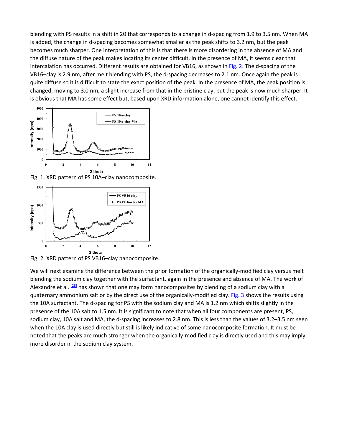blending with PS results in a shift in 2θ that corresponds to a change in d-spacing from 1.9 to 3.5 nm. When MA is added, the change in d-spacing becomes somewhat smaller as the peak shifts to 3.2 nm, but the peak becomes much sharper. One interpretation of this is that there is more disordering in the absence of MA and the diffuse nature of the peak makes locating its center difficult. In the presence of MA, it seems clear that intercalation has occurred. Different results are obtained for VB16, as shown in [Fig.](https://www.sciencedirect.com/science/article/pii/S0141391002003993?via%3Dihub#FIGGR2) 2. The d-spacing of the VB16–clay is 2.9 nm, after melt blending with PS, the d-spacing decreases to 2.1 nm. Once again the peak is quite diffuse so it is difficult to state the exact position of the peak. In the presence of MA, the peak position is changed, moving to 3.0 nm, a slight increase from that in the pristine clay, but the peak is now much sharper. It is obvious that MA has some effect but, based upon XRD information alone, one cannot identify this effect.



Fig. 1. XRD pattern of PS 10A–clay nanocomposite.



Fig. 2. XRD pattern of PS VB16–clay nanocomposite.

We will next examine the difference between the prior formation of the organically-modified clay versus melt blending the sodium clay together with the surfactant, again in the presence and absence of MA. The work of Alexandre et al. <sup>[\[28\]](https://www.sciencedirect.com/science/article/pii/S0141391002003993?via%3Dihub#BIB28)</sup> has shown that one may form nanocomposites by blending of a sodium clay with a quaternary ammonium salt or by the direct use of the organically-modified clay. [Fig.](https://www.sciencedirect.com/science/article/pii/S0141391002003993?via%3Dihub#FIGGR3) 3 shows the results using the 10A surfactant. The d-spacing for PS with the sodium clay and MA is 1.2 nm which shifts slightly in the presence of the 10A salt to 1.5 nm. It is significant to note that when all four components are present, PS, sodium clay, 10A salt and MA, the d-spacing increases to 2.8 nm. This is less than the values of 3.2–3.5 nm seen when the 10A clay is used directly but still is likely indicative of some nanocomposite formation. It must be noted that the peaks are much stronger when the organically-modified clay is directly used and this may imply more disorder in the sodium clay system.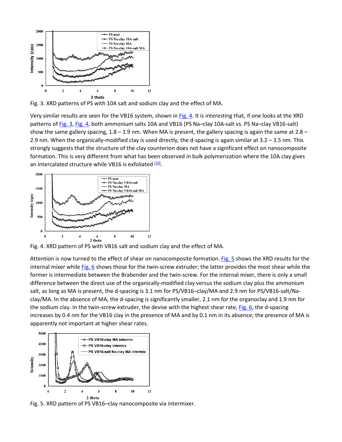

Fig. 3. XRD patterns of PS with 10A salt and sodium clay and the effect of MA.

Very similar results are seen for the VB16 system, shown in [Fig.](https://www.sciencedirect.com/science/article/pii/S0141391002003993?via%3Dihub#FIGGR4) 4. It is interesting that, if one looks at the XRD patterns of [Fig. 3,](https://www.sciencedirect.com/science/article/pii/S0141391002003993?via%3Dihub#FIGGR3) [Fig. 4,](https://www.sciencedirect.com/science/article/pii/S0141391002003993?via%3Dihub#FIGGR4) both ammonium salts 10A and VB16 (PS Na–clay 10A-salt vs. PS Na–clay VB16-salt) show the same gallery spacing,  $1.8 - 1.9$  nm. When MA is present, the gallery spacing is again the same at  $2.8 -$ 2.9 nm. When the organically-modified clay is used directly, the d-spacing is again similar at 3.2 – 3.5 nm. This strongly suggests that the structure of the clay counterion does not have a significant effect on nanocomposite formation. This is very different from what has been observed in bulk polymerization where the 10A clay gives an intercalated structure while VB16 is exfoliated  $100$ .



Fig. 4. XRD pattern of PS with VB16 salt and sodium clay and the effect of MA.

Attention is now turned to the effect of shear on nanocomposite formation. [Fig.](https://www.sciencedirect.com/science/article/pii/S0141391002003993?via%3Dihub#FIGGR5) 5 shows the XRD results for the internal mixer while [Fig.](https://www.sciencedirect.com/science/article/pii/S0141391002003993?via%3Dihub#FIGGR6) 6 shows those for the twin-screw extruder; the latter provides the most shear while the former is intermediate between the Brabender and the twin-screw. For the internal mixer, there is only a small difference between the direct use of the organically-modified clay versus the sodium clay plus the ammonium salt, as long as MA is present, the d-spacing is 3.1 nm for PS/VB16–clay/MA and 2.9 nm for PS/VB16-salt/Naclay/MA. In the absence of MA, the d-spacing is significantly smaller, 2.1 nm for the organoclay and 1.9 nm for the sodium clay. In the twin-screw extruder, the devise with the highest shear rate, [Fig.](https://www.sciencedirect.com/science/article/pii/S0141391002003993?via%3Dihub#FIGGR6) 6, the d-spacing increases by 0.4 nm for the VB16 clay in the presence of MA and by 0.1 nm in its absence; the presence of MA is apparently not important at higher shear rates.



Fig. 5. XRD pattern of PS VB16–clay nanocomposite via intermixer.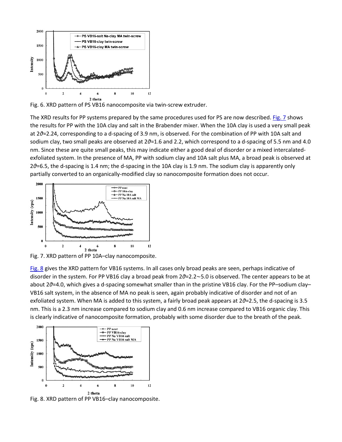

Fig. 6. XRD pattern of PS VB16 nanocomposite via twin-screw extruder.

The XRD results for PP systems prepared by the same procedures used for PS are now described. [Fig.](https://www.sciencedirect.com/science/article/pii/S0141391002003993?via%3Dihub#FIGGR7) 7 shows the results for PP with the 10A clay and salt in the Brabender mixer. When the 10A clay is used a very small peak at 2*θ*=2.24, corresponding to a d-spacing of 3.9 nm, is observed. For the combination of PP with 10A salt and sodium clay, two small peaks are observed at 2*θ*=1.6 and 2.2, which correspond to a d-spacing of 5.5 nm and 4.0 nm. Since these are quite small peaks, this may indicate either a good deal of disorder or a mixed intercalatedexfoliated system. In the presence of MA, PP with sodium clay and 10A salt plus MA, a broad peak is observed at 2*θ*=6.5, the d-spacing is 1.4 nm; the d-spacing in the 10A clay is 1.9 nm. The sodium clay is apparently only partially converted to an organically-modified clay so nanocomposite formation does not occur.



Fig. 7. XRD pattern of PP 10A–clay nanocomposite.

[Fig.](https://www.sciencedirect.com/science/article/pii/S0141391002003993?via%3Dihub#FIGGR8) 8 gives the XRD pattern for VB16 systems. In all cases only broad peaks are seen, perhaps indicative of disorder in the system. For PP VB16 clay a broad peak from 2*θ*=2.2∼5.0 is observed. The center appears to be at about 2*θ*=4.0, which gives a d-spacing somewhat smaller than in the pristine VB16 clay. For the PP–sodium clay– VB16 salt system, in the absence of MA no peak is seen, again probably indicative of disorder and not of an exfoliated system. When MA is added to this system, a fairly broad peak appears at 2*θ*=2.5, the d-spacing is 3.5 nm. This is a 2.3 nm increase compared to sodium clay and 0.6 nm increase compared to VB16 organic clay. This is clearly indicative of nanocomposite formation, probably with some disorder due to the breath of the peak.



Fig. 8. XRD pattern of PP VB16–clay nanocomposite.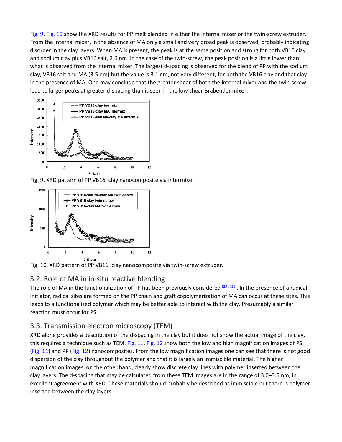[Fig. 9,](https://www.sciencedirect.com/science/article/pii/S0141391002003993?via%3Dihub#FIGGR9) [Fig. 10](https://www.sciencedirect.com/science/article/pii/S0141391002003993?via%3Dihub#FIGGR10) show the XRD results for PP melt blended in either the internal mixer or the twin-screw extruder. From the internal mixer, in the absence of MA only a small and very broad peak is observed, probably indicating disorder in the clay layers. When MA is present, the peak is at the same position and strong for both VB16 clay and sodium clay plus VB16 salt, 2.6 nm. In the case of the twin-screw, the peak position is a little lower than what is observed from the internal mixer. The largest d-spacing is observed for the blend of PP with the sodium clay, VB16 salt and MA (3.5 nm) but the value is 3.1 nm, not very different, for both the VB16 clay and that clay in the presence of MA. One may conclude that the greater shear of both the internal mixer and the twin-screw lead to larger peaks at greater d-spacing than is seen in the low shear Brabender mixer.



Fig. 9. XRD pattern of PP VB16–clay nanocomposite via intermixer.





#### 3.2. Role of MA in in-situ reactive blending

The role of MA in the functionalization of PP has been previously considered [\[29\],](https://www.sciencedirect.com/science/article/pii/S0141391002003993?via%3Dihub#BIB29) [\[30\].](https://www.sciencedirect.com/science/article/pii/S0141391002003993?via%3Dihub#BIB30) In the presence of a radical initiator, radical sites are formed on the PP chain and graft copolymerization of MA can occur at these sites. This leads to a functionalized polymer which may be better able to interact with the clay. Presumably a similar reaction must occur for PS.

#### 3.3. Transmission electron microscopy (TEM)

XRD alone provides a description of the d-spacing in the clay but it does not show the actual image of the clay, this requires a technique such as TEM. [Fig. 11,](https://www.sciencedirect.com/science/article/pii/S0141391002003993?via%3Dihub#FIGGR11) [Fig. 12](https://www.sciencedirect.com/science/article/pii/S0141391002003993?via%3Dihub#FIGGR12) show both the low and high magnification images of PS [\(Fig.](https://www.sciencedirect.com/science/article/pii/S0141391002003993?via%3Dihub#FIGGR11) 11) and PP [\(Fig.](https://www.sciencedirect.com/science/article/pii/S0141391002003993?via%3Dihub#FIGGR12) 12) nanocomposites. From the low magnification images one can see that there is not good dispersion of the clay throughout the polymer and that it is largely an immiscible material. The higher magnification images, on the other hand, clearly show discrete clay lines with polymer inserted between the clay layers. The d-spacing that may be calculated from these TEM images are in the range of 3.0–3.5 nm, in excellent agreement with XRD. These materials should probably be described as immiscible but there is polymer inserted between the clay layers.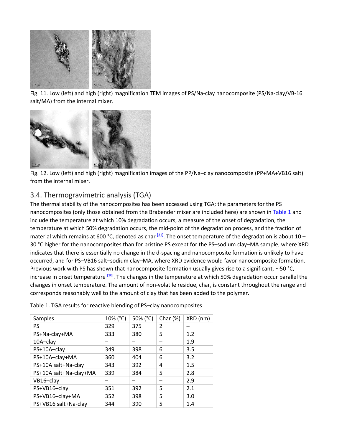

Fig. 11. Low (left) and high (right) magnification TEM images of PS/Na-clay nanocomposite (PS/Na-clay/VB-16 salt/MA) from the internal mixer.



Fig. 12. Low (left) and high (right) magnification images of the PP/Na–clay nanocomposite (PP+MA+VB16 salt) from the internal mixer.

## 3.4. Thermogravimetric analysis (TGA)

The thermal stability of the nanocomposites has been accessed using TGA; the parameters for the PS nanocomposites (only those obtained from the Brabender mixer are included here) are shown in [Table](https://www.sciencedirect.com/science/article/pii/S0141391002003993?via%3Dihub#TBL1) 1 and include the temperature at which 10% degradation occurs, a measure of the onset of degradation, the temperature at which 50% degradation occurs, the mid-point of the degradation process, and the fraction of material which remains at 600 °C, denoted as char  $\frac{31}{1}$ . The onset temperature of the degradation is about 10 – 30 °C higher for the nanocomposites than for pristine PS except for the PS–sodium clay–MA sample, where XRD indicates that there is essentially no change in the d-spacing and nanocomposite formation is unlikely to have occurred, and for PS–VB16 salt–sodium clay–MA, where XRD evidence would favor nanocomposite formation. Previous work with PS has shown that nanocomposite formation usually gives rise to a significant, ∼50 °C, increase in onset temperature <sup>[10]</sup>. The changes in the temperature at which 50% degradation occur parallel the changes in onset temperature. The amount of non-volatile residue, char, is constant throughout the range and corresponds reasonably well to the amount of clay that has been added to the polymer.

Table 1. TGA results for reactive blending of PS–clay nanocomposites

| Samples                | 10% (°C) | 50% (°C) | Char $(%)$ | XRD (nm) |
|------------------------|----------|----------|------------|----------|
| PS                     | 329      | 375      | 2          |          |
| PS+Na-clay+MA          | 333      | 380      | 5          | 1.2      |
| 10A-clay               |          |          |            | 1.9      |
| PS+10A-clay            | 349      | 398      | 6          | 3.5      |
| PS+10A-clay+MA         | 360      | 404      | 6          | 3.2      |
| PS+10A salt+Na-clay    | 343      | 392      | 4          | 1.5      |
| PS+10A salt+Na-clay+MA | 339      | 384      | 5          | 2.8      |
| VB16-clay              |          |          |            | 2.9      |
| PS+VB16-clay           | 351      | 392      | 5          | 2.1      |
| PS+VB16-clay+MA        | 352      | 398      | 5          | 3.0      |
| PS+VB16 salt+Na-clay   | 344      | 390      | 5          | 1.4      |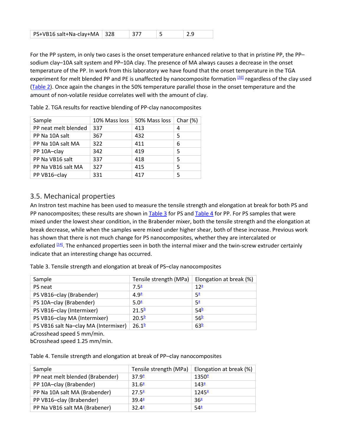| $PS+VB16$ salt+Na-clay+MA $\mid$ 328 |  | $\overline{377}$ |  | $\vert$ 2.9 |
|--------------------------------------|--|------------------|--|-------------|
|--------------------------------------|--|------------------|--|-------------|

For the PP system, in only two cases is the onset temperature enhanced relative to that in pristine PP, the PP– sodium clay–10A salt system and PP–10A clay. The presence of MA always causes a decrease in the onset temperature of the PP. In work from this laboratory we have found that the onset temperature in the TGA experiment for melt blended PP and PE is unaffected by nanocomposite formation <sup>[\[32\]](https://www.sciencedirect.com/science/article/pii/S0141391002003993?via%3Dihub#BIB32)</sup> regardless of the clay used [\(Table](https://www.sciencedirect.com/science/article/pii/S0141391002003993?via%3Dihub#TBL2) 2). Once again the changes in the 50% temperature parallel those in the onset temperature and the amount of non-volatile residue correlates well with the amount of clay.

| Sample               | 10% Mass loss | 50% Mass loss | Char $(%)$ |
|----------------------|---------------|---------------|------------|
| PP neat melt blended | 337           | 413           | 4          |
| PP Na 10A salt       | 367           | 432           | 5          |
| PP Na 10A salt MA    | 322           | 411           | 6          |
| PP 10A-clay          | 342           | 419           | 5          |
| PP Na VB16 salt      | 337           | 418           | 5          |
| PP Na VB16 salt MA   | 327           | 415           | 5          |
| PP VB16-clay         | 331           | 417           | 5          |

Table 2. TGA results for reactive blending of PP-clay nanocomposites

### 3.5. Mechanical properties

An Instron test machine has been used to measure the tensile strength and elongation at break for both PS and PP nanocomposites; these results are shown in [Table](https://www.sciencedirect.com/science/article/pii/S0141391002003993?via%3Dihub#TBL4) 3 for PS and Table 4 for PP. For PS samples that were mixed under the lowest shear condition, in the Brabender mixer, both the tensile strength and the elongation at break decrease, while when the samples were mixed under higher shear, both of these increase. Previous work has shown that there is not much change for PS nanocomposites, whether they are intercalated or exfoliated <sup>[14]</sup>. The enhanced properties seen in both the internal mixer and the twin-screw extruder certainly indicate that an interesting change has occurred.

Table 3. Tensile strength and elongation at break of PS–clay nanocomposites

| Sample                               | Tensile strength (MPa) | Elongation at break (%) |
|--------------------------------------|------------------------|-------------------------|
| PS neat                              | $7.5^{\underline{a}}$  | 12 <sup>a</sup>         |
| PS VB16-clay (Brabender)             | 4.9 <sup>a</sup>       | 5ª                      |
| PS 10A-clay (Brabender)              | 5.0 <sup>a</sup>       | 5 <sup>a</sup>          |
| PS VB16-clay (Intermixer)            | $21.5^{\frac{b}{2}}$   | 54 <sup>b</sup>         |
| PS VB16-clay MA (Intermixer)         | $20.5^{\frac{b}{2}}$   | 56 <sup>b</sup>         |
| PS VB16 salt Na-clay MA (Intermixer) | $26.1^{\frac{b}{2}}$   | 63 <sup>b</sup>         |

aCrosshead speed 5 mm/min.

bCrosshead speed 1.25 mm/min.

Table 4. Tensile strength and elongation at break of PP–clay nanocomposites

| Sample                           | Tensile strength (MPa) | Elongation at break (%) |
|----------------------------------|------------------------|-------------------------|
| PP neat melt blended (Brabender) | 37.9 <sup>2</sup>      | $1350^{\frac{a}{2}}$    |
| PP 10A-clay (Brabender)          | $31.6^{\circ}$         | $143^{\underline{a}}$   |
| PP Na 10A salt MA (Brabender)    | 27.5 <sup>2</sup>      | $1245^{\frac{a}{2}}$    |
| PP VB16-clay (Brabender)         | $39.4^{\circ}$         | 36 <sup>2</sup>         |
| PP Na VB16 salt MA (Brabener)    | $32.4^{\circ}$         | 54 <sup>2</sup>         |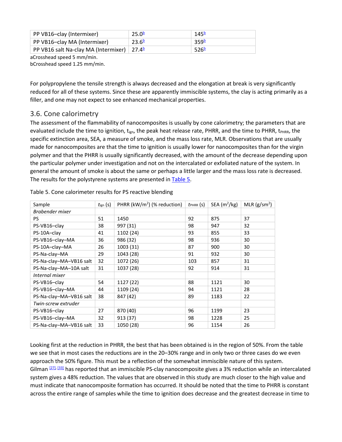| PP VB16-clay (Intermixer)                                | $25.0^{\circ}$ | 145 <sup>b</sup> |
|----------------------------------------------------------|----------------|------------------|
| PP VB16-clay MA (Intermixer)                             | $23.6^{\circ}$ | $359^{\circ}$    |
| PP VB16 salt Na-clay MA (Intermixer)   27.4 <sup>b</sup> |                | $526^{\circ}$    |

aCrosshead speed 5 mm/min.

bCrosshead speed 1.25 mm/min.

For polypropylene the tensile strength is always decreased and the elongation at break is very significantly reduced for all of these systems. Since these are apparently immiscible systems, the clay is acting primarily as a filler, and one may not expect to see enhanced mechanical properties.

### 3.6. Cone calorimetry

The assessment of the flammability of nanocomposites is usually by cone calorimetry; the parameters that are evaluated include the time to ignition, t<sub>ign</sub>, the peak heat release rate, PHRR, and the time to PHRR, t<sub>PHRR</sub>, the specific extinction area, SEA, a measure of smoke, and the mass loss rate, MLR. Observations that are usually made for nanocomposites are that the time to ignition is usually lower for nanocomposites than for the virgin polymer and that the PHRR is usually significantly decreased, with the amount of the decrease depending upon the particular polymer under investigation and not on the intercalated or exfoliated nature of the system. In general the amount of smoke is about the same or perhaps a little larger and the mass loss rate is decreased. The results for the polystyrene systems are presented in [Table](https://www.sciencedirect.com/science/article/pii/S0141391002003993?via%3Dihub#TBL5) 5.

| Sample                  | $t_{\text{ign}}$ (s) | PHRR ( $kW/m2$ ) (% reduction) | $t_{\text{PHRR}}$ (S) | SEA $(m^2/kg)$ | MLR $(g/sm^2)$ |
|-------------------------|----------------------|--------------------------------|-----------------------|----------------|----------------|
| Brabender mixer         |                      |                                |                       |                |                |
| <b>PS</b>               | 51                   | 1450                           | 92                    | 875            | 37             |
| PS-VB16-clay            | 38                   | 997 (31)                       | 98                    | 947            | 32             |
| PS-10A-clay             | 41                   | 1102 (24)                      | 93                    | 855            | 33             |
| PS-VB16-clay-MA         | 36                   | 986 (32)                       | 98                    | 936            | 30             |
| PS-10A-clay-MA          | 26                   | 1003 (31)                      | 87                    | 900            | 30             |
| PS-Na-clay-MA           | 29                   | 1043 (28)                      | 91                    | 932            | 30             |
| PS-Na-clay-MA-VB16 salt | 32                   | 1072 (26)                      | 103                   | 857            | 31             |
| PS-Na-clay-MA-10A salt  | 31                   | 1037 (28)                      | 92                    | 914            | 31             |
| Internal mixer          |                      |                                |                       |                |                |
| PS-VB16-clay            | 54                   | 1127 (22)                      | 88                    | 1121           | 30             |
| PS-VB16-clay-MA         | 44                   | 1109 (24)                      | 94                    | 1121           | 28             |
| PS-Na-clay-MA-VB16 salt | 38                   | 847 (42)                       | 89                    | 1183           | 22             |
| Twin-screw extruder     |                      |                                |                       |                |                |
| PS-VB16-clay            | 27                   | 870 (40)                       | 96                    | 1199           | 23             |
| PS-VB16-clay-MA         | 32                   | 913 (37)                       | 98                    | 1228           | 25             |
| PS-Na-clay-MA-VB16 salt | 33                   | 1050 (28)                      | 96                    | 1154           | 26             |

Table 5. Cone calorimeter results for PS reactive blending

Looking first at the reduction in PHRR, the best that has been obtained is in the region of 50%. From the table we see that in most cases the reductions are in the 20–30% range and in only two or three cases do we even approach the 50% figure. This must be a reflection of the somewhat immiscible nature of this system. Gilman <sup>[\[27\],](https://www.sciencedirect.com/science/article/pii/S0141391002003993?via%3Dihub#BIB27) [\[33\]](https://www.sciencedirect.com/science/article/pii/S0141391002003993?via%3Dihub#BIB33)</sup> has reported that an immiscible PS-clay nanocomposite gives a 3% reduction while an intercalated system gives a 48% reduction. The values that are observed in this study are much closer to the high value and must indicate that nanocomposite formation has occurred. It should be noted that the time to PHRR is constant across the entire range of samples while the time to ignition does decrease and the greatest decrease in time to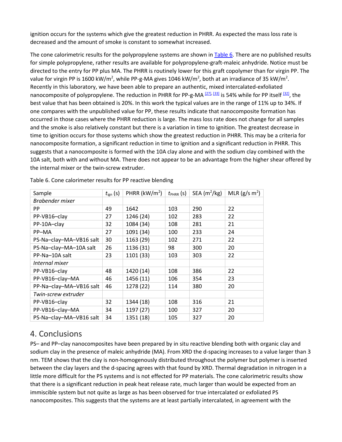ignition occurs for the systems which give the greatest reduction in PHRR. As expected the mass loss rate is decreased and the amount of smoke is constant to somewhat increased.

The cone calorimetric results for the polypropylene systems are shown in [Table](https://www.sciencedirect.com/science/article/pii/S0141391002003993?via%3Dihub#TBL6) 6. There are no published results for simple polypropylene, rather results are available for polypropylene-graft-maleic anhydride. Notice must be directed to the entry for PP plus MA. The PHRR is routinely lower for this graft copolymer than for virgin PP. The value for virgin PP is 1600 kW/m<sup>2</sup>, while PP-g-MA gives 1046 kW/m<sup>2</sup>, both at an irradiance of 35 kW/m<sup>2</sup>. Recently in this laboratory, we have been able to prepare an authentic, mixed intercalated-exfoliated nanocomposite of polypropylene. The reduction in PHRR for PP-g-MA <sup>[\[27\],](https://www.sciencedirect.com/science/article/pii/S0141391002003993?via%3Dihub#BIB27) [\[33\]](https://www.sciencedirect.com/science/article/pii/S0141391002003993?via%3Dihub#BIB33)</sup> is 54% while for PP itself <sup>[32]</sup>, the best value that has been obtained is 20%. In this work the typical values are in the range of 11% up to 34%. If one compares with the unpublished value for PP, these results indicate that nanocomposite formation has occurred in those cases where the PHRR reduction is large. The mass loss rate does not change for all samples and the smoke is also relatively constant but there is a variation in time to ignition. The greatest decrease in time to ignition occurs for those systems which show the greatest reduction in PHRR. This may be a criteria for nanocomposite formation, a significant reduction in time to ignition and a significant reduction in PHRR. This suggests that a nanocomposite is formed with the 10A clay alone and with the sodium clay combined with the 10A salt, both with and without MA. There does not appear to be an advantage from the higher shear offered by the internal mixer or the twin-screw extruder.

| Sample                  | $t_{\text{ign}}$ (s) | PHRR $(kW/m2)$ | $t_{\text{PHRR}}$ (S) | SEA $(m^2/kg)$ | MLR ( $g/s$ m <sup>2</sup> ) |
|-------------------------|----------------------|----------------|-----------------------|----------------|------------------------------|
| Brabender mixer         |                      |                |                       |                |                              |
| <b>PP</b>               | 49                   | 1642           | 103                   | 290            | 22                           |
| PP-VB16-clay            | 27                   | 1246 (24)      | 102                   | 283            | 22                           |
| PP-10A-clay             | 32                   | 1084 (34)      | 108                   | 281            | 21                           |
| PP-MA                   | 27                   | 1091 (34)      | 100                   | 233            | 24                           |
| PS-Na-clay-MA-VB16 salt | 30                   | 1163 (29)      | 102                   | 271            | 22                           |
| PS-Na-clay-MA-10A salt  | 26                   | 1136 (31)      | 98                    | 300            | 20                           |
| PP-Na-10A salt          | 23                   | 1101 (33)      | 103                   | 303            | 22                           |
| Internal mixer          |                      |                |                       |                |                              |
| PP-VB16-clay            | 48                   | 1420 (14)      | 108                   | 386            | 22                           |
| PP-VB16-clay-MA         | 46                   | 1456 (11)      | 106                   | 354            | 23                           |
| PP-Na-clay-MA-VB16 salt | 46                   | 1278 (22)      | 114                   | 380            | 20                           |
| Twin-screw extruder     |                      |                |                       |                |                              |
| PP-VB16-clay            | 32                   | 1344 (18)      | 108                   | 316            | 21                           |
| PP-VB16-clay-MA         | 34                   | 1197 (27)      | 100                   | 327            | 20                           |
| PS-Na-clay-MA-VB16 salt | 34                   | 1351 (18)      | 105                   | 327            | 20                           |

Table 6. Cone calorimeter results for PP reactive blending

## 4. Conclusions

PS– and PP–clay nanocomposites have been prepared by in situ reactive blending both with organic clay and sodium clay in the presence of maleic anhydride (MA). From XRD the d-spacing increases to a value larger than 3 nm. TEM shows that the clay is non-homogenously distributed throughout the polymer but polymer is inserted between the clay layers and the d-spacing agrees with that found by XRD. Thermal degradation in nitrogen in a little more difficult for the PS systems and is not effected for PP materials. The cone calorimetric results show that there is a significant reduction in peak heat release rate, much larger than would be expected from an immiscible system but not quite as large as has been observed for true intercalated or exfoliated PS nanocomposites. This suggests that the systems are at least partially intercalated, in agreement with the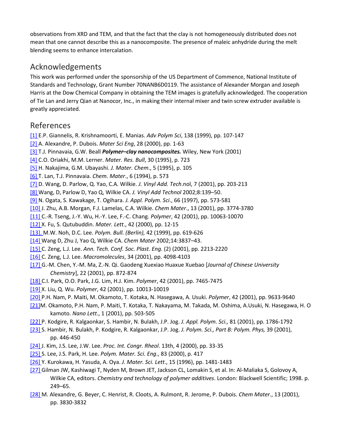observations from XRD and TEM, and that the fact that the clay is not homogeneously distributed does not mean that one cannot describe this as a nanocomposite. The presence of maleic anhydride during the melt blending seems to enhance intercalation.

## Acknowledgements

This work was performed under the sponsorship of the US Department of Commence, National Institute of Standards and Technology, Grant Number 70NANB6D0119. The assistance of Alexander Morgan and Joseph Harris at the Dow Chemical Company in obtaining the TEM images is gratefully acknowledged. The cooperation of Tie Lan and Jerry Qian at Nanocor, Inc., in making their internal mixer and twin screw extruder available is greatly appreciated.

## References

- [\[1\]](https://www.sciencedirect.com/science/article/pii/S0141391002003993?via%3Dihub#bBIB1) E.P. Giannelis, R. Krishnamoorti, E. Manias. *Adv Polym Sci*, 138 (1999), pp. 107-147
- [\[2\]](https://www.sciencedirect.com/science/article/pii/S0141391002003993?via%3Dihub#bBIB2) A. Alexandre, P. Dubois. *Mater Sci Eng*, 28 (2000), pp. 1-63
- [\[3\]](https://www.sciencedirect.com/science/article/pii/S0141391002003993?via%3Dihub#bBIB3) T.J. Pinnavaia, G.W. Beall *Polymer–clay nanocomposites.* Wiley, New York (2001)
- [\[4\]](https://www.sciencedirect.com/science/article/pii/S0141391002003993?via%3Dihub#bBIB4) C.O. Oriakhi, M.M. Lerner. *Mater. Res. Bull*, 30 (1995), p. 723
- [\[5\]](https://www.sciencedirect.com/science/article/pii/S0141391002003993?via%3Dihub#bBIB5) H. Nakajima, G.M. Ubayashi. *J. Mater. Chem*., 5 (1995), p. 105
- [\[6\]](https://www.sciencedirect.com/science/article/pii/S0141391002003993?via%3Dihub#bBIB6) T. Lan, T.J. Pinnavaia. *Chem. Mater*., 6 (1994), p. 573
- [\[7\]](https://www.sciencedirect.com/science/article/pii/S0141391002003993?via%3Dihub#bBIB7) D. Wang, D. Parlow, Q. Yao, C.A. Wilkie. *J. Vinyl Add. Tech*.nol, 7 (2001), pp. 203-213
- [\[8\]](https://www.sciencedirect.com/science/article/pii/S0141391002003993?via%3Dihub#bBIB8) Wang, D, Parlow D, Yao Q, Wilkie CA. *J. Vinyl Add Technol* 2002;8:139–50.
- [\[9\]](https://www.sciencedirect.com/science/article/pii/S0141391002003993?via%3Dihub#bBIB9) N. Ogata, S. Kawakage, T. Ogihara. *J. Appl. Polym. Sci*., 66 (1997), pp. 573-581
- [\[10\]](https://www.sciencedirect.com/science/article/pii/S0141391002003993?via%3Dihub#bBIB10) J. Zhu, A.B. Morgan, F.J. Lamelas, C.A. Wilkie. *Chem Mater*., 13 (2001), pp. 3774-3780
- [\[11\]](https://www.sciencedirect.com/science/article/pii/S0141391002003993?via%3Dihub#bBIB11) C.-R. Tseng, J.-Y. Wu, H.-Y. Lee, F.-C. Chang. *Polymer*, 42 (2001), pp. 10063-10070
- [\[12\]](https://www.sciencedirect.com/science/article/pii/S0141391002003993?via%3Dihub#bBIB12) X. Fu, S. Qutubuddin. *Mater. Lett*., 42 (2000), pp. 12-15
- [\[13\].](https://www.sciencedirect.com/science/article/pii/S0141391002003993?via%3Dihub#bBIB13) M.W. Noh, D.C. Lee. *Polym. Bull. (Berlin),* 42 (1999), pp. 619-626
- [\[14\]](https://www.sciencedirect.com/science/article/pii/S0141391002003993?via%3Dihub#bBIB14) Wang D, Zhu J, Yao Q, Wilkie CA. *Chem Mater* 2002;14:3837–43.
- [\[15\]](https://www.sciencedirect.com/science/article/pii/S0141391002003993?via%3Dihub#bBIB15) C. Zeng, L.J. Lee. *Ann. Tech. Conf. Soc. Plast. Eng.* (2) (2001), pp. 2213-2220
- [\[16\]](https://www.sciencedirect.com/science/article/pii/S0141391002003993?via%3Dihub#bBIB16) C. Zeng, L.J. Lee. *Macromolecules*, 34 (2001), pp. 4098-4103
- [\[17\]](https://www.sciencedirect.com/science/article/pii/S0141391002003993?via%3Dihub#bBIB17) G.-M. Chen, Y.-M. Ma, Z.-N. Qi. Gaodeng Xuexiao Huaxue Xuebao [*Journal of Chinese University Chemistry*], 22 (2001), pp. 872-874
- [\[18\]](https://www.sciencedirect.com/science/article/pii/S0141391002003993?via%3Dihub#bBIB18) C.I. Park, O.O. Park, J.G. Lim, H.J. Kim. *Polymer*, 42 (2001), pp. 7465-7475
- [\[19\]](https://www.sciencedirect.com/science/article/pii/S0141391002003993?via%3Dihub#bBIB19) X. Liu, Q. Wu. *Polymer*, 42 (2001), pp. 10013-10019
- [\[20\]](https://www.sciencedirect.com/science/article/pii/S0141391002003993?via%3Dihub#bBIB20) P.H. Nam, P. Maiti, M. Okamoto, T. Kotaka, N. Hasegawa, A. Usuki. *Polymer*, 42 (2001), pp. 9633-9640
- [\[21\]M](https://www.sciencedirect.com/science/article/pii/S0141391002003993?via%3Dihub#bBIB21). Okamoto, P.H. Nam, P. Maiti, T. Kotaka, T. Nakayama, M. Takada, M. Oshima, A.Usuki, N. Hasegawa, H. O kamoto. *Nano Lett*., 1 (2001), pp. 503-505
- [\[22\]](https://www.sciencedirect.com/science/article/pii/S0141391002003993?via%3Dihub#bBIB22) P. Kodgire, R. Kalgaonkar, S. Hambir, N. Bulakh, J.P. Jog. *J. Appl. Polym. Sci.,* 81 (2001), pp. 1786-1792
- [\[23\]](https://www.sciencedirect.com/science/article/pii/S0141391002003993?via%3Dihub#bBIB23) S. Hambir, N. Bulakh, P. Kodgire, R. Kalgaonkar, J.P. Jog. *J. Polym. Sci., Part B: Polym. Phys,* 39 (2001), pp. 446-450
- [\[24\]](https://www.sciencedirect.com/science/article/pii/S0141391002003993?via%3Dihub#bBIB24) J. Kim, J.S. Lee, J.W. Lee. *Proc. Int. Congr. Rheol*. 13th, 4 (2000), pp. 33-35
- [\[25\]](https://www.sciencedirect.com/science/article/pii/S0141391002003993?via%3Dihub#bBIB25) S. Lee, J.S. Park, H. Lee. *Polym. Mater. Sci. Eng*., 83 (2000), p. 417
- [\[26\]](https://www.sciencedirect.com/science/article/pii/S0141391002003993?via%3Dihub#bBIB26) Y. Kurokawa, H. Yasuda, A. Oya. *J. Mater. Sci. Lett*., 15 (1996), pp. 1481-1483
- [\[27\]](https://www.sciencedirect.com/science/article/pii/S0141391002003993?via%3Dihub#bBIB27) Gilman JW, Kashiwagi T, Nyden M, Brown JET, Jackson CL, Lomakin S, et al. In: Al-Maliaka S, Golovoy A, Wilkie CA, editors. *Chemistry and technology of polymer additives*. London: Blackwell Scientific; 1998. p. 249–65.
- [\[28\]](https://www.sciencedirect.com/science/article/pii/S0141391002003993?via%3Dihub#bBIB28) M. Alexandre, G. Beyer, C. Henrist, R. Cloots, A. Rulmont, R. Jerome, P. Dubois. *Chem Mater*., 13 (2001), pp. 3830-3832